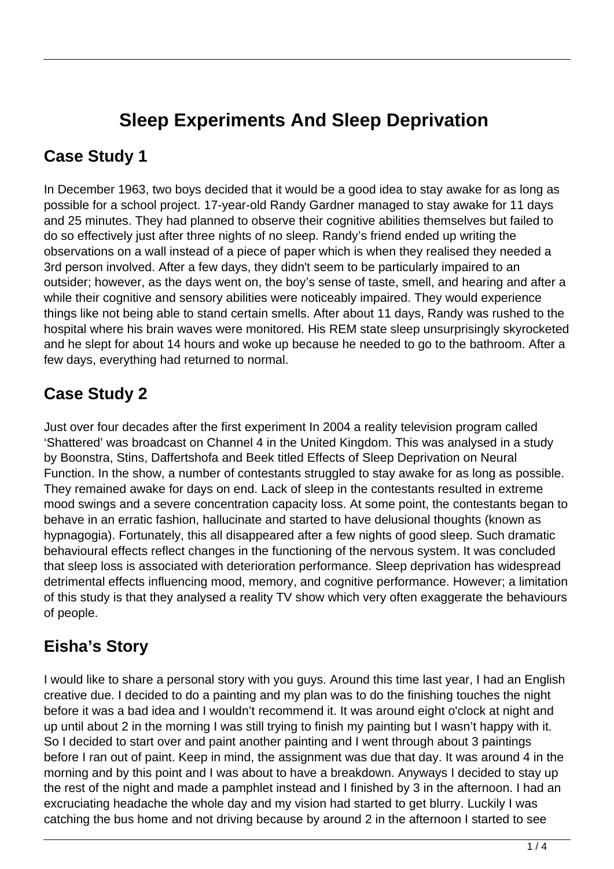# **Sleep Experiments And Sleep Deprivation**

#### **Case Study 1**

In December 1963, two boys decided that it would be a good idea to stay awake for as long as possible for a school project. 17-year-old Randy Gardner managed to stay awake for 11 days and 25 minutes. They had planned to observe their cognitive abilities themselves but failed to do so effectively just after three nights of no sleep. Randy's friend ended up writing the observations on a wall instead of a piece of paper which is when they realised they needed a 3rd person involved. After a few days, they didn't seem to be particularly impaired to an outsider; however, as the days went on, the boy's sense of taste, smell, and hearing and after a while their cognitive and sensory abilities were noticeably impaired. They would experience things like not being able to stand certain smells. After about 11 days, Randy was rushed to the hospital where his brain waves were monitored. His REM state sleep unsurprisingly skyrocketed and he slept for about 14 hours and woke up because he needed to go to the bathroom. After a few days, everything had returned to normal.

#### **Case Study 2**

Just over four decades after the first experiment In 2004 a reality television program called 'Shattered' was broadcast on Channel 4 in the United Kingdom. This was analysed in a study by Boonstra, Stins, Daffertshofa and Beek titled Effects of Sleep Deprivation on Neural Function. In the show, a number of contestants struggled to stay awake for as long as possible. They remained awake for days on end. Lack of sleep in the contestants resulted in extreme mood swings and a severe concentration capacity loss. At some point, the contestants began to behave in an erratic fashion, hallucinate and started to have delusional thoughts (known as hypnagogia). Fortunately, this all disappeared after a few nights of good sleep. Such dramatic behavioural effects reflect changes in the functioning of the nervous system. It was concluded that sleep loss is associated with deterioration performance. Sleep deprivation has widespread detrimental effects influencing mood, memory, and cognitive performance. However; a limitation of this study is that they analysed a reality TV show which very often exaggerate the behaviours of people.

## **Eisha's Story**

I would like to share a personal story with you guys. Around this time last year, I had an English creative due. I decided to do a painting and my plan was to do the finishing touches the night before it was a bad idea and I wouldn't recommend it. It was around eight o'clock at night and up until about 2 in the morning I was still trying to finish my painting but I wasn't happy with it. So I decided to start over and paint another painting and I went through about 3 paintings before I ran out of paint. Keep in mind, the assignment was due that day. It was around 4 in the morning and by this point and I was about to have a breakdown. Anyways I decided to stay up the rest of the night and made a pamphlet instead and I finished by 3 in the afternoon. I had an excruciating headache the whole day and my vision had started to get blurry. Luckily I was catching the bus home and not driving because by around 2 in the afternoon I started to see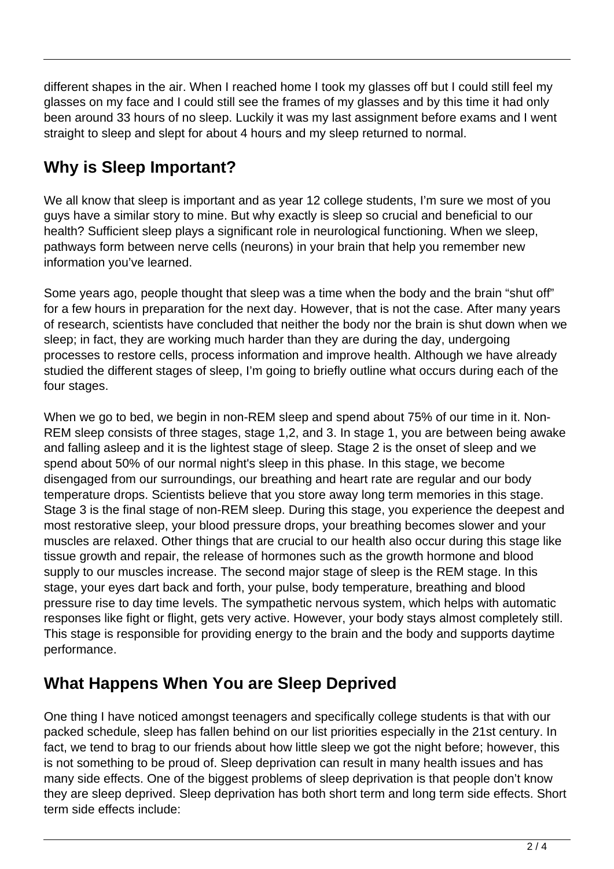different shapes in the air. When I reached home I took my glasses off but I could still feel my glasses on my face and I could still see the frames of my glasses and by this time it had only been around 33 hours of no sleep. Luckily it was my last assignment before exams and I went straight to sleep and slept for about 4 hours and my sleep returned to normal.

## **Why is Sleep Important?**

We all know that sleep is important and as year 12 college students, I'm sure we most of you guys have a similar story to mine. But why exactly is sleep so crucial and beneficial to our health? Sufficient sleep plays a significant role in neurological functioning. When we sleep, pathways form between nerve cells (neurons) in your brain that help you remember new information you've learned.

Some years ago, people thought that sleep was a time when the body and the brain "shut off" for a few hours in preparation for the next day. However, that is not the case. After many years of research, scientists have concluded that neither the body nor the brain is shut down when we sleep; in fact, they are working much harder than they are during the day, undergoing processes to restore cells, process information and improve health. Although we have already studied the different stages of sleep, I'm going to briefly outline what occurs during each of the four stages.

When we go to bed, we begin in non-REM sleep and spend about 75% of our time in it. Non-REM sleep consists of three stages, stage 1,2, and 3. In stage 1, you are between being awake and falling asleep and it is the lightest stage of sleep. Stage 2 is the onset of sleep and we spend about 50% of our normal night's sleep in this phase. In this stage, we become disengaged from our surroundings, our breathing and heart rate are regular and our body temperature drops. Scientists believe that you store away long term memories in this stage. Stage 3 is the final stage of non-REM sleep. During this stage, you experience the deepest and most restorative sleep, your blood pressure drops, your breathing becomes slower and your muscles are relaxed. Other things that are crucial to our health also occur during this stage like tissue growth and repair, the release of hormones such as the growth hormone and blood supply to our muscles increase. The second major stage of sleep is the REM stage. In this stage, your eyes dart back and forth, your pulse, body temperature, breathing and blood pressure rise to day time levels. The sympathetic nervous system, which helps with automatic responses like fight or flight, gets very active. However, your body stays almost completely still. This stage is responsible for providing energy to the brain and the body and supports daytime performance.

## **What Happens When You are Sleep Deprived**

One thing I have noticed amongst teenagers and specifically college students is that with our packed schedule, sleep has fallen behind on our list priorities especially in the 21st century. In fact, we tend to brag to our friends about how little sleep we got the night before; however, this is not something to be proud of. Sleep deprivation can result in many health issues and has many side effects. One of the biggest problems of sleep deprivation is that people don't know they are sleep deprived. Sleep deprivation has both short term and long term side effects. Short term side effects include: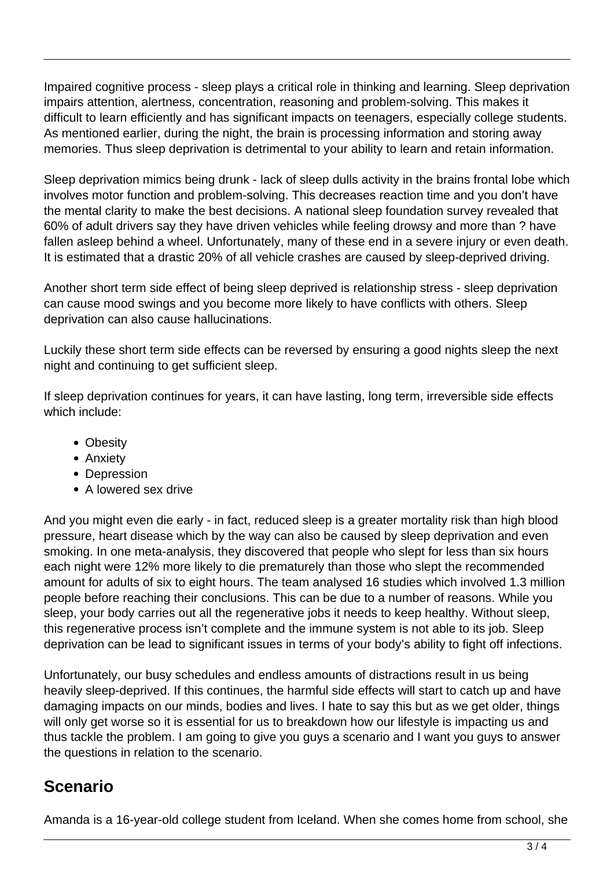Impaired cognitive process - sleep plays a critical role in thinking and learning. Sleep deprivation impairs attention, alertness, concentration, reasoning and problem-solving. This makes it difficult to learn efficiently and has significant impacts on teenagers, especially college students. As mentioned earlier, during the night, the brain is processing information and storing away memories. Thus sleep deprivation is detrimental to your ability to learn and retain information.

Sleep deprivation mimics being drunk - lack of sleep dulls activity in the brains frontal lobe which involves motor function and problem-solving. This decreases reaction time and you don't have the mental clarity to make the best decisions. A national sleep foundation survey revealed that 60% of adult drivers say they have driven vehicles while feeling drowsy and more than ? have fallen asleep behind a wheel. Unfortunately, many of these end in a severe injury or even death. It is estimated that a drastic 20% of all vehicle crashes are caused by sleep-deprived driving.

Another short term side effect of being sleep deprived is relationship stress - sleep deprivation can cause mood swings and you become more likely to have conflicts with others. Sleep deprivation can also cause hallucinations.

Luckily these short term side effects can be reversed by ensuring a good nights sleep the next night and continuing to get sufficient sleep.

If sleep deprivation continues for years, it can have lasting, long term, irreversible side effects which include:

- Obesity
- Anxiety
- Depression
- A lowered sex drive

And you might even die early - in fact, reduced sleep is a greater mortality risk than high blood pressure, heart disease which by the way can also be caused by sleep deprivation and even smoking. In one meta-analysis, they discovered that people who slept for less than six hours each night were 12% more likely to die prematurely than those who slept the recommended amount for adults of six to eight hours. The team analysed 16 studies which involved 1.3 million people before reaching their conclusions. This can be due to a number of reasons. While you sleep, your body carries out all the regenerative jobs it needs to keep healthy. Without sleep, this regenerative process isn't complete and the immune system is not able to its job. Sleep deprivation can be lead to significant issues in terms of your body's ability to fight off infections.

Unfortunately, our busy schedules and endless amounts of distractions result in us being heavily sleep-deprived. If this continues, the harmful side effects will start to catch up and have damaging impacts on our minds, bodies and lives. I hate to say this but as we get older, things will only get worse so it is essential for us to breakdown how our lifestyle is impacting us and thus tackle the problem. I am going to give you guys a scenario and I want you guys to answer the questions in relation to the scenario.

#### **Scenario**

Amanda is a 16-year-old college student from Iceland. When she comes home from school, she